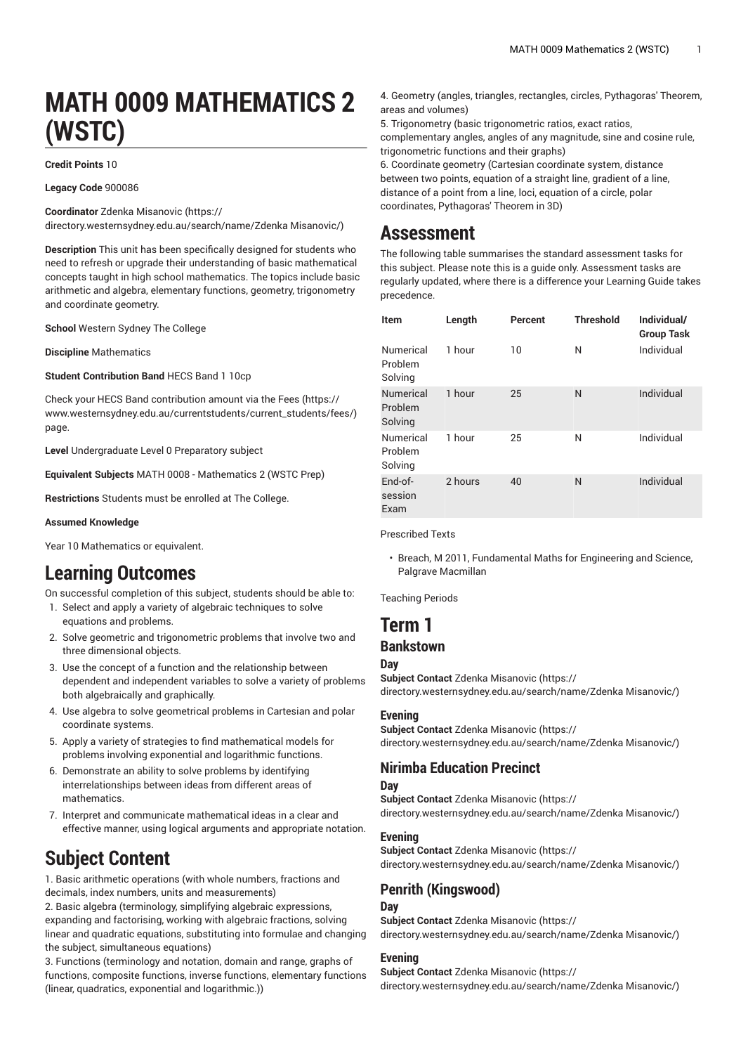# **MATH 0009 MATHEMATICS 2 (WSTC)**

#### **Credit Points** 10

**Legacy Code** 900086

**Coordinator** Zdenka [Misanovic \(https://](https://directory.westernsydney.edu.au/search/name/Zdenka Misanovic/)

[directory.westernsydney.edu.au/search/name/Zdenka](https://directory.westernsydney.edu.au/search/name/Zdenka Misanovic/) Misanovic/)

**Description** This unit has been specifically designed for students who need to refresh or upgrade their understanding of basic mathematical concepts taught in high school mathematics. The topics include basic arithmetic and algebra, elementary functions, geometry, trigonometry and coordinate geometry.

**School** Western Sydney The College

**Discipline** Mathematics

**Student Contribution Band** HECS Band 1 10cp

Check your HECS Band contribution amount via the [Fees \(https://](https://www.westernsydney.edu.au/currentstudents/current_students/fees/) [www.westernsydney.edu.au/currentstudents/current\\_students/fees/\)](https://www.westernsydney.edu.au/currentstudents/current_students/fees/) page.

**Level** Undergraduate Level 0 Preparatory subject

**Equivalent Subjects** [MATH](/search/?P=MATH%200008) 0008 - Mathematics 2 (WSTC Prep)

**Restrictions** Students must be enrolled at The College.

#### **Assumed Knowledge**

Year 10 Mathematics or equivalent.

## **Learning Outcomes**

On successful completion of this subject, students should be able to: 1. Select and apply a variety of algebraic techniques to solve equations and problems.

- 2. Solve geometric and trigonometric problems that involve two and three dimensional objects.
- 3. Use the concept of a function and the relationship between dependent and independent variables to solve a variety of problems both algebraically and graphically.
- 4. Use algebra to solve geometrical problems in Cartesian and polar coordinate systems.
- 5. Apply a variety of strategies to find mathematical models for problems involving exponential and logarithmic functions.
- 6. Demonstrate an ability to solve problems by identifying interrelationships between ideas from different areas of mathematics.
- 7. Interpret and communicate mathematical ideas in a clear and effective manner, using logical arguments and appropriate notation.

## **Subject Content**

1. Basic arithmetic operations (with whole numbers, fractions and decimals, index numbers, units and measurements)

2. Basic algebra (terminology, simplifying algebraic expressions, expanding and factorising, working with algebraic fractions, solving linear and quadratic equations, substituting into formulae and changing the subject, simultaneous equations)

3. Functions (terminology and notation, domain and range, graphs of functions, composite functions, inverse functions, elementary functions (linear, quadratics, exponential and logarithmic.))

- 4. Geometry (angles, triangles, rectangles, circles, Pythagoras' Theorem, areas and volumes)
- 5. Trigonometry (basic trigonometric ratios, exact ratios, complementary angles, angles of any magnitude, sine and cosine rule, trigonometric functions and their graphs)
- 6. Coordinate geometry (Cartesian coordinate system, distance between two points, equation of a straight line, gradient of a line, distance of a point from a line, loci, equation of a circle, polar coordinates, Pythagoras' Theorem in 3D)

## **Assessment**

The following table summarises the standard assessment tasks for this subject. Please note this is a guide only. Assessment tasks are regularly updated, where there is a difference your Learning Guide takes precedence.

| <b>Item</b>                     | Length  | Percent | <b>Threshold</b> | Individual/<br><b>Group Task</b> |
|---------------------------------|---------|---------|------------------|----------------------------------|
| Numerical<br>Problem<br>Solving | 1 hour  | 10      | N                | Individual                       |
| Numerical<br>Problem<br>Solving | 1 hour  | 25      | N                | Individual                       |
| Numerical<br>Problem<br>Solving | 1 hour  | 25      | N                | Individual                       |
| End-of-<br>session<br>Exam      | 2 hours | 40      | N                | Individual                       |

Prescribed Texts

• Breach, M 2011, Fundamental Maths for Engineering and Science, Palgrave Macmillan

Teaching Periods

## **Term 1 Bankstown**

## **Day**

**Subject Contact** Zdenka [Misanovic](https://directory.westernsydney.edu.au/search/name/Zdenka Misanovic/) ([https://](https://directory.westernsydney.edu.au/search/name/Zdenka Misanovic/)

[directory.westernsydney.edu.au/search/name/Zdenka](https://directory.westernsydney.edu.au/search/name/Zdenka Misanovic/) Misanovic/)

#### **Evening**

**Subject Contact** Zdenka [Misanovic](https://directory.westernsydney.edu.au/search/name/Zdenka Misanovic/) ([https://](https://directory.westernsydney.edu.au/search/name/Zdenka Misanovic/) [directory.westernsydney.edu.au/search/name/Zdenka](https://directory.westernsydney.edu.au/search/name/Zdenka Misanovic/) Misanovic/)

#### **Nirimba Education Precinct**

**Day Subject Contact** Zdenka [Misanovic](https://directory.westernsydney.edu.au/search/name/Zdenka Misanovic/) ([https://](https://directory.westernsydney.edu.au/search/name/Zdenka Misanovic/) [directory.westernsydney.edu.au/search/name/Zdenka](https://directory.westernsydney.edu.au/search/name/Zdenka Misanovic/) Misanovic/)

#### **Evening**

**Subject Contact** Zdenka [Misanovic](https://directory.westernsydney.edu.au/search/name/Zdenka Misanovic/) ([https://](https://directory.westernsydney.edu.au/search/name/Zdenka Misanovic/) [directory.westernsydney.edu.au/search/name/Zdenka](https://directory.westernsydney.edu.au/search/name/Zdenka Misanovic/) Misanovic/)

#### **Penrith (Kingswood)**

#### **Day**

**Subject Contact** Zdenka [Misanovic](https://directory.westernsydney.edu.au/search/name/Zdenka Misanovic/) ([https://](https://directory.westernsydney.edu.au/search/name/Zdenka Misanovic/) [directory.westernsydney.edu.au/search/name/Zdenka](https://directory.westernsydney.edu.au/search/name/Zdenka Misanovic/) Misanovic/)

#### **Evening**

**Subject Contact** Zdenka [Misanovic](https://directory.westernsydney.edu.au/search/name/Zdenka Misanovic/) ([https://](https://directory.westernsydney.edu.au/search/name/Zdenka Misanovic/) [directory.westernsydney.edu.au/search/name/Zdenka](https://directory.westernsydney.edu.au/search/name/Zdenka Misanovic/) Misanovic/)